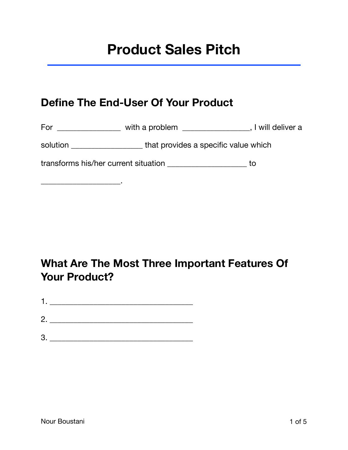# **Product Sales Pitch**

## **Define The End-User Of Your Product**

For \_\_\_\_\_\_\_\_\_\_\_\_\_\_\_\_\_\_\_ with a problem \_\_\_\_\_\_\_\_\_\_\_\_\_\_\_\_\_\_, I will deliver a

solution \_\_\_\_\_\_\_\_\_\_\_\_\_\_\_\_\_\_\_\_\_\_\_that provides a specific value which

transforms his/her current situation \_\_\_\_\_\_\_\_\_\_\_\_\_\_\_\_\_\_\_\_ to

## **What Are The Most Three Important Features Of Your Product?**

| n |  |  |  |
|---|--|--|--|

\_\_\_\_\_\_\_\_\_\_\_\_\_\_\_\_\_\_\_\_.

3. \_\_\_\_\_\_\_\_\_\_\_\_\_\_\_\_\_\_\_\_\_\_\_\_\_\_\_\_\_\_\_\_\_\_\_\_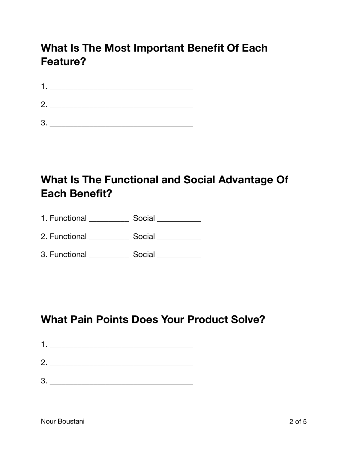# **What Is The Most Important Benefit Of Each Feature?**

| 1. |  |  |  |
|----|--|--|--|
| 2. |  |  |  |
| 3  |  |  |  |

# **What Is The Functional and Social Advantage Of Each Benefit?**

| 1. Functional | Social |
|---------------|--------|
|---------------|--------|

2. Functional \_\_\_\_\_\_\_\_\_\_\_\_\_ Social \_\_\_\_\_\_\_\_\_\_\_\_

3. Functional \_\_\_\_\_\_\_\_\_\_\_\_\_ Social \_\_\_\_\_\_\_\_\_\_\_\_

## **What Pain Points Does Your Product Solve?**

- 1. \_\_\_\_\_\_\_\_\_\_\_\_\_\_\_\_\_\_\_\_\_\_\_\_\_\_\_\_\_\_\_\_\_\_\_\_ 2. \_\_\_\_\_\_\_\_\_\_\_\_\_\_\_\_\_\_\_\_\_\_\_\_\_\_\_\_\_\_\_\_\_\_\_\_
- 3. \_\_\_\_\_\_\_\_\_\_\_\_\_\_\_\_\_\_\_\_\_\_\_\_\_\_\_\_\_\_\_\_\_\_\_\_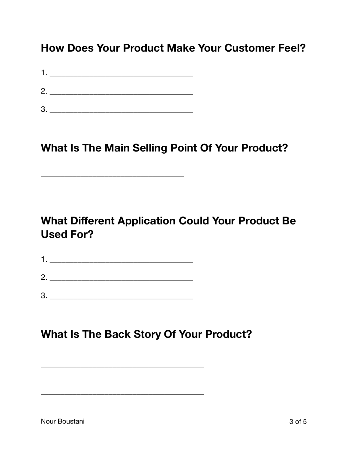#### **How Does Your Product Make Your Customer Feel?**

|    | 2. $\qquad \qquad$ |
|----|--------------------|
|    |                    |
| 3. |                    |

\_\_\_\_\_\_\_\_\_\_\_\_\_\_\_\_\_\_\_\_\_\_\_\_\_\_\_\_\_\_\_\_\_\_\_\_

#### **What Is The Main Selling Point Of Your Product?**

# **What Different Application Could Your Product Be Used For?**

| п            |  |
|--------------|--|
| $\mathbf{2}$ |  |
| 3            |  |

\_\_\_\_\_\_\_\_\_\_\_\_\_\_\_\_\_\_\_\_\_\_\_\_\_\_\_\_\_\_\_\_\_\_\_\_\_\_\_\_\_

\_\_\_\_\_\_\_\_\_\_\_\_\_\_\_\_\_\_\_\_\_\_\_\_\_\_\_\_\_\_\_\_\_\_\_\_\_\_\_\_\_

## **What Is The Back Story Of Your Product?**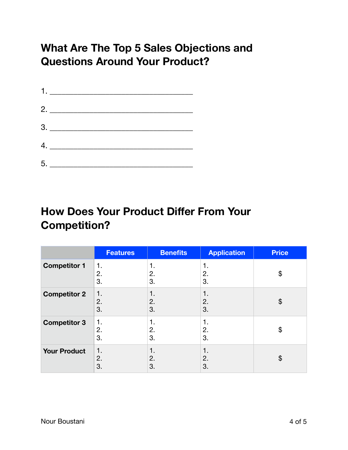# **What Are The Top 5 Sales Objections and Questions Around Your Product?**

| $\begin{array}{c}\n3. \quad \textcolor{blue}{\overbrace{\qquad \qquad \qquad }}$ |
|----------------------------------------------------------------------------------|
|                                                                                  |
|                                                                                  |

# **How Does Your Product Differ From Your Competition?**

|                     | <b>Features</b> | <b>Benefits</b> | <b>Application</b> | <b>Price</b> |
|---------------------|-----------------|-----------------|--------------------|--------------|
| <b>Competitor 1</b> | 1.<br>2.<br>3.  | 1.<br>2.<br>3.  | 1.<br>2.<br>3.     | \$           |
| <b>Competitor 2</b> | 1.<br>2.<br>3.  | 1.<br>2.<br>3.  | 1.<br>2.<br>3.     | \$           |
| <b>Competitor 3</b> | 1.<br>2.<br>3.  | 1.<br>2.<br>3.  | 1.<br>2.<br>3.     | \$           |
| <b>Your Product</b> | 1.<br>2.<br>3.  | 1.<br>2.<br>3.  | 1.<br>2.<br>3.     | \$           |